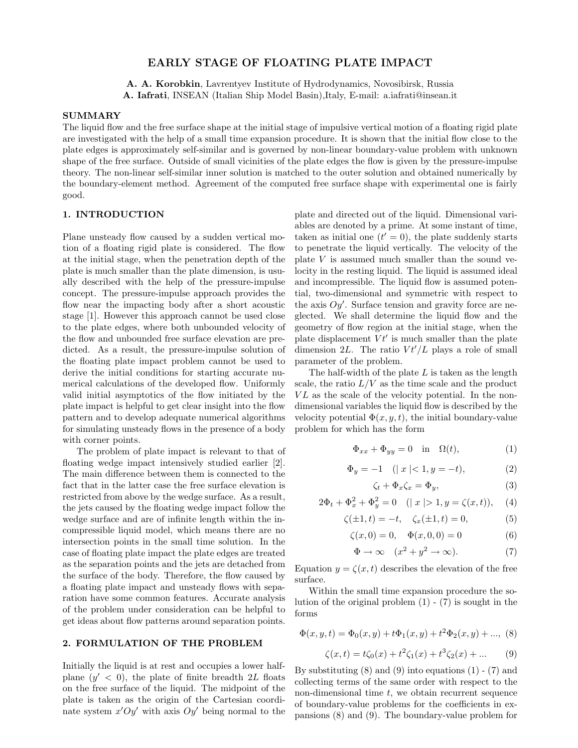## EARLY STAGE OF FLOATING PLATE IMPACT

A. A. Korobkin, Lavrentyev Institute of Hydrodynamics, Novosibirsk, Russia A. Iafrati, INSEAN (Italian Ship Model Basin),Italy, E-mail: a.iafrati@insean.it

#### SUMMARY

The liquid flow and the free surface shape at the initial stage of impulsive vertical motion of a floating rigid plate are investigated with the help of a small time expansion procedure. It is shown that the initial flow close to the plate edges is approximately self-similar and is governed by non-linear boundary-value problem with unknown shape of the free surface. Outside of small vicinities of the plate edges the flow is given by the pressure-impulse theory. The non-linear self-similar inner solution is matched to the outer solution and obtained numerically by the boundary-element method. Agreement of the computed free surface shape with experimental one is fairly good.

#### 1. INTRODUCTION

Plane unsteady flow caused by a sudden vertical motion of a floating rigid plate is considered. The flow at the initial stage, when the penetration depth of the plate is much smaller than the plate dimension, is usually described with the help of the pressure-impulse concept. The pressure-impulse approach provides the flow near the impacting body after a short acoustic stage [1]. However this approach cannot be used close to the plate edges, where both unbounded velocity of the flow and unbounded free surface elevation are predicted. As a result, the pressure-impulse solution of the floating plate impact problem cannot be used to derive the initial conditions for starting accurate numerical calculations of the developed flow. Uniformly valid initial asymptotics of the flow initiated by the plate impact is helpful to get clear insight into the flow pattern and to develop adequate numerical algorithms for simulating unsteady flows in the presence of a body with corner points.

The problem of plate impact is relevant to that of floating wedge impact intensively studied earlier [2]. The main difference between them is connected to the fact that in the latter case the free surface elevation is restricted from above by the wedge surface. As a result, the jets caused by the floating wedge impact follow the wedge surface and are of infinite length within the incompressible liquid model, which means there are no intersection points in the small time solution. In the case of floating plate impact the plate edges are treated as the separation points and the jets are detached from the surface of the body. Therefore, the flow caused by a floating plate impact and unsteady flows with separation have some common features. Accurate analysis of the problem under consideration can be helpful to get ideas about flow patterns around separation points.

### 2. FORMULATION OF THE PROBLEM

Initially the liquid is at rest and occupies a lower halfplane  $(y' < 0)$ , the plate of finite breadth 2L floats on the free surface of the liquid. The midpoint of the plate is taken as the origin of the Cartesian coordinate system  $x'Oy'$  with axis  $Oy'$  being normal to the plate and directed out of the liquid. Dimensional variables are denoted by a prime. At some instant of time, taken as initial one  $(t' = 0)$ , the plate suddenly starts to penetrate the liquid vertically. The velocity of the plate  $V$  is assumed much smaller than the sound velocity in the resting liquid. The liquid is assumed ideal and incompressible. The liquid flow is assumed potential, two-dimensional and symmetric with respect to the axis  $Oy'$ . Surface tension and gravity force are neglected. We shall determine the liquid flow and the geometry of flow region at the initial stage, when the plate displacement  $Vt'$  is much smaller than the plate dimension 2L. The ratio  $V t'/L$  plays a role of small parameter of the problem.

The half-width of the plate  $L$  is taken as the length scale, the ratio  $L/V$  as the time scale and the product  $VL$  as the scale of the velocity potential. In the nondimensional variables the liquid flow is described by the velocity potential  $\Phi(x, y, t)$ , the initial boundary-value problem for which has the form

$$
\Phi_{xx} + \Phi_{yy} = 0 \quad \text{in} \quad \Omega(t), \tag{1}
$$

$$
\Phi_y = -1 \quad (|x| < 1, y = -t), \tag{2}
$$

$$
\zeta_t + \Phi_x \zeta_x = \Phi_y,\tag{3}
$$

$$
2\Phi_t + \Phi_x^2 + \Phi_y^2 = 0 \quad (|x| > 1, y = \zeta(x, t)), \quad (4)
$$

$$
\zeta(\pm 1, t) = -t, \quad \zeta_x(\pm 1, t) = 0,\tag{5}
$$

$$
\zeta(x,0) = 0, \quad \Phi(x,0,0) = 0 \tag{6}
$$

$$
\Phi \to \infty \quad (x^2 + y^2 \to \infty). \tag{7}
$$

Equation  $y = \zeta(x, t)$  describes the elevation of the free surface.

Within the small time expansion procedure the solution of the original problem  $(1)$  -  $(7)$  is sought in the forms

$$
\Phi(x, y, t) = \Phi_0(x, y) + t\Phi_1(x, y) + t^2\Phi_2(x, y) + ...,
$$
 (8)

$$
\zeta(x,t) = t\zeta_0(x) + t^2\zeta_1(x) + t^3\zeta_2(x) + \dots \tag{9}
$$

By substituting  $(8)$  and  $(9)$  into equations  $(1)$  -  $(7)$  and collecting terms of the same order with respect to the non-dimensional time  $t$ , we obtain recurrent sequence of boundary-value problems for the coefficients in expansions (8) and (9). The boundary-value problem for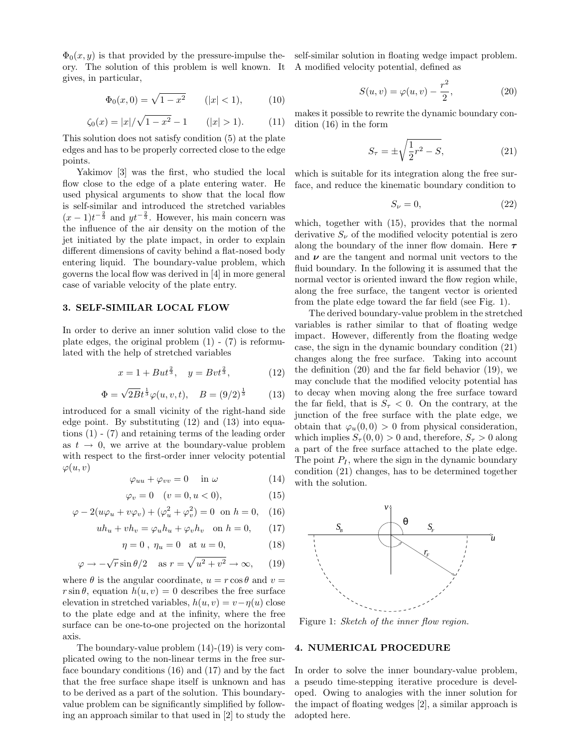$\Phi_0(x, y)$  is that provided by the pressure-impulse the-self-similar solution in floating wedge impact problem. ory. The solution of this problem is well known. It A modified velocity potential, defined as gives, in particular,

$$
\Phi_0(x,0) = \sqrt{1 - x^2} \qquad (|x| < 1), \tag{10}
$$

$$
\zeta_0(x) = |x| / \sqrt{1 - x^2} - 1 \qquad (|x| > 1). \tag{11}
$$

This solution does not satisfy condition (5) at the plate edges and has to be properly corrected close to the edge points.

Yakimov [3] was the first, who studied the local flow close to the edge of a plate entering water. He used physical arguments to show that the local flow is self-similar and introduced the stretched variables  $(x-1)t^{-\frac{2}{3}}$  and  $yt^{-\frac{2}{3}}$ . However, his main concern was the influence of the air density on the motion of the jet initiated by the plate impact, in order to explain different dimensions of cavity behind a flat-nosed body entering liquid. The boundary-value problem, which governs the local flow was derived in [4] in more general case of variable velocity of the plate entry.

#### 3. SELF-SIMILAR LOCAL FLOW

In order to derive an inner solution valid close to the plate edges, the original problem  $(1)$  -  $(7)$  is reformulated with the help of stretched variables

$$
x = 1 + But^{\frac{2}{3}}, \quad y = Bvt^{\frac{2}{3}}, \tag{12}
$$

$$
\Phi = \sqrt{2B}t^{\frac{1}{3}}\varphi(u,v,t), \quad B = (9/2)^{\frac{1}{3}} \tag{13}
$$

introduced for a small vicinity of the right-hand side edge point. By substituting (12) and (13) into equations (1) - (7) and retaining terms of the leading order as  $t \to 0$ , we arrive at the boundary-value problem with respect to the first-order inner velocity potential  $\varphi(u,v)$ 

$$
\varphi_{uu} + \varphi_{vv} = 0 \quad \text{in } \omega \tag{14}
$$

$$
\varphi_v = 0 \quad (v = 0, u < 0), \tag{15}
$$

$$
\varphi - 2(u\varphi_u + v\varphi_v) + (\varphi_u^2 + \varphi_v^2) = 0 \text{ on } h = 0, \quad (16)
$$

$$
uh_u + vh_v = \varphi_u h_u + \varphi_v h_v \quad \text{on } h = 0,\qquad(17)
$$

$$
\eta = 0 \;,\; \eta_u = 0 \quad \text{at } u = 0,\tag{18}
$$

$$
\varphi \to -\sqrt{r} \sin \theta/2
$$
 as  $r = \sqrt{u^2 + v^2} \to \infty$ , (19)

where  $\theta$  is the angular coordinate,  $u = r \cos \theta$  and  $v =$  $r \sin \theta$ , equation  $h(u, v) = 0$  describes the free surface elevation in stretched variables,  $h(u, v) = v - \eta(u)$  close to the plate edge and at the infinity, where the free surface can be one-to-one projected on the horizontal axis.

The boundary-value problem (14)-(19) is very complicated owing to the non-linear terms in the free surface boundary conditions (16) and (17) and by the fact that the free surface shape itself is unknown and has to be derived as a part of the solution. This boundaryvalue problem can be significantly simplified by following an approach similar to that used in [2] to study the

$$
S(u,v) = \varphi(u,v) - \frac{r^2}{2},\tag{20}
$$

makes it possible to rewrite the dynamic boundary condition (16) in the form

$$
S_{\tau} = \pm \sqrt{\frac{1}{2}r^2 - S},
$$
\n(21)

which is suitable for its integration along the free surface, and reduce the kinematic boundary condition to

$$
S_{\nu} = 0,\t\t(22)
$$

which, together with (15), provides that the normal derivative  $S_{\nu}$  of the modified velocity potential is zero along the boundary of the inner flow domain. Here  $\tau$ and  $\nu$  are the tangent and normal unit vectors to the fluid boundary. In the following it is assumed that the normal vector is oriented inward the flow region while, along the free surface, the tangent vector is oriented from the plate edge toward the far field (see Fig. 1).

The derived boundary-value problem in the stretched variables is rather similar to that of floating wedge impact. However, differently from the floating wedge case, the sign in the dynamic boundary condition (21) changes along the free surface. Taking into account the definition (20) and the far field behavior (19), we may conclude that the modified velocity potential has to decay when moving along the free surface toward the far field, that is  $S_{\tau} < 0$ . On the contrary, at the junction of the free surface with the plate edge, we obtain that  $\varphi_u(0,0) > 0$  from physical consideration, which implies  $S_{\tau}(0,0) > 0$  and, therefore,  $S_{\tau} > 0$  along a part of the free surface attached to the plate edge. The point  $P_I$ , where the sign in the dynamic boundary condition (21) changes, has to be determined together with the solution.



Figure 1: Sketch of the inner flow region.

#### 4. NUMERICAL PROCEDURE

In order to solve the inner boundary-value problem, a pseudo time-stepping iterative procedure is developed. Owing to analogies with the inner solution for the impact of floating wedges [2], a similar approach is adopted here.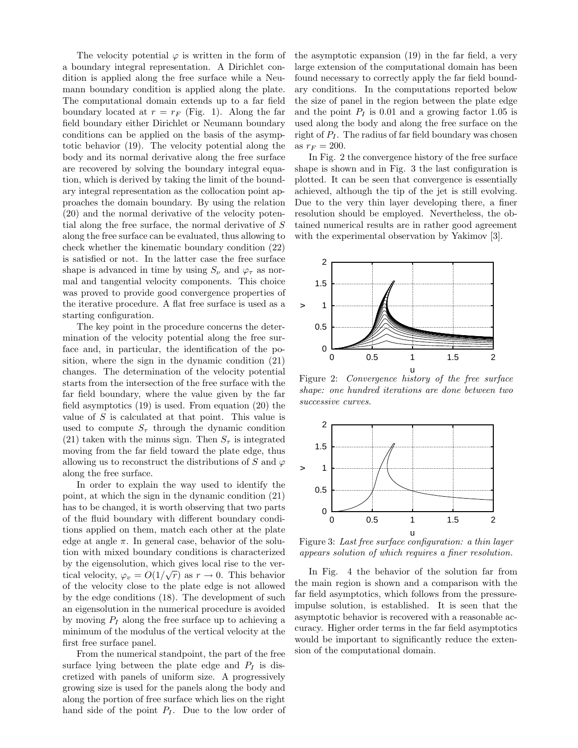The velocity potential  $\varphi$  is written in the form of a boundary integral representation. A Dirichlet condition is applied along the free surface while a Neumann boundary condition is applied along the plate. The computational domain extends up to a far field boundary located at  $r = r_F$  (Fig. 1). Along the far field boundary either Dirichlet or Neumann boundary conditions can be applied on the basis of the asymptotic behavior (19). The velocity potential along the body and its normal derivative along the free surface are recovered by solving the boundary integral equation, which is derived by taking the limit of the boundary integral representation as the collocation point approaches the domain boundary. By using the relation (20) and the normal derivative of the velocity potential along the free surface, the normal derivative of S along the free surface can be evaluated, thus allowing to check whether the kinematic boundary condition (22) is satisfied or not. In the latter case the free surface shape is advanced in time by using  $S_{\nu}$  and  $\varphi_{\tau}$  as normal and tangential velocity components. This choice was proved to provide good convergence properties of the iterative procedure. A flat free surface is used as a starting configuration.

The key point in the procedure concerns the determination of the velocity potential along the free surface and, in particular, the identification of the position, where the sign in the dynamic condition (21) changes. The determination of the velocity potential starts from the intersection of the free surface with the far field boundary, where the value given by the far field asymptotics (19) is used. From equation (20) the value of S is calculated at that point. This value is used to compute  $S_{\tau}$  through the dynamic condition (21) taken with the minus sign. Then  $S_{\tau}$  is integrated moving from the far field toward the plate edge, thus allowing us to reconstruct the distributions of S and  $\varphi$ along the free surface.

In order to explain the way used to identify the point, at which the sign in the dynamic condition (21) has to be changed, it is worth observing that two parts of the fluid boundary with different boundary conditions applied on them, match each other at the plate edge at angle  $\pi$ . In general case, behavior of the solution with mixed boundary conditions is characterized by the eigensolution, which gives local rise to the vertical velocity,  $\varphi_v = O(1/\sqrt{r})$  as  $r \to 0$ . This behavior of the velocity close to the plate edge is not allowed by the edge conditions (18). The development of such an eigensolution in the numerical procedure is avoided by moving  $P_I$  along the free surface up to achieving a minimum of the modulus of the vertical velocity at the first free surface panel.

From the numerical standpoint, the part of the free surface lying between the plate edge and  $P_I$  is discretized with panels of uniform size. A progressively growing size is used for the panels along the body and along the portion of free surface which lies on the right hand side of the point  $P_I$ . Due to the low order of the asymptotic expansion (19) in the far field, a very large extension of the computational domain has been found necessary to correctly apply the far field boundary conditions. In the computations reported below the size of panel in the region between the plate edge and the point  $P_I$  is 0.01 and a growing factor 1.05 is used along the body and along the free surface on the right of  $P_I$ . The radius of far field boundary was chosen as  $r_F = 200$ .

In Fig. 2 the convergence history of the free surface shape is shown and in Fig. 3 the last configuration is plotted. It can be seen that convergence is essentially achieved, although the tip of the jet is still evolving. Due to the very thin layer developing there, a finer resolution should be employed. Nevertheless, the obtained numerical results are in rather good agreement with the experimental observation by Yakimov [3].



Figure 2: Convergence history of the free surface shape: one hundred iterations are done between two successive curves.



Figure 3: Last free surface configuration: a thin layer appears solution of which requires a finer resolution.

In Fig. 4 the behavior of the solution far from the main region is shown and a comparison with the far field asymptotics, which follows from the pressureimpulse solution, is established. It is seen that the asymptotic behavior is recovered with a reasonable accuracy. Higher order terms in the far field asymptotics would be important to significantly reduce the extension of the computational domain.